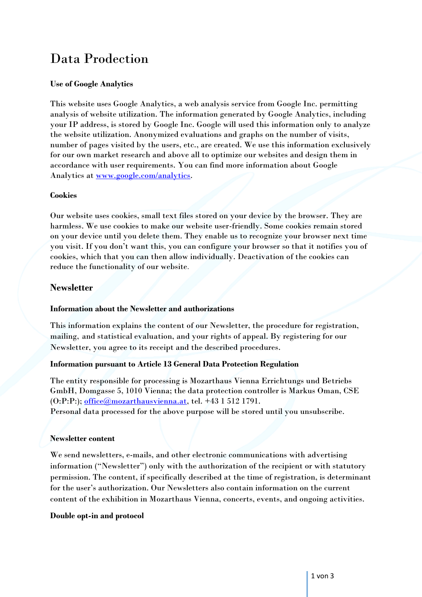# Data Prodection

# **Use of Google Analytics**

This website uses Google Analytics, a web analysis service from Google Inc. permitting analysis of website utilization. The information generated by Google Analytics, including your IP address, is stored by Google Inc. Google will used this information only to analyze the website utilization. Anonymized evaluations and graphs on the number of visits, number of pages visited by the users, etc., are created. We use this information exclusively for our own market research and above all to optimize our websites and design them in accordance with user requirements. You can find more information about Google Analytics at [www.google.com/analytics.](http://www.google.com/analytics)

# **Cookies**

Our website uses cookies, small text files stored on your device by the browser. They are harmless. We use cookies to make our website user-friendly. Some cookies remain stored on your device until you delete them. They enable us to recognize your browser next time you visit. If you don't want this, you can configure your browser so that it notifies you of cookies, which that you can then allow individually. Deactivation of the cookies can reduce the functionality of our website.

# **Newsletter**

# **Information about the Newsletter and authorizations**

This information explains the content of our Newsletter, the procedure for registration, mailing, and statistical evaluation, and your rights of appeal. By registering for our Newsletter, you agree to its receipt and the described procedures.

# **Information pursuant to Article 13 General Data Protection Regulation**

The entity responsible for processing is Mozarthaus Vienna Errichtungs und Betriebs GmbH, Domgasse 5, 1010 Vienna; the data protection controller is Markus Oman, CSE  $(0:P:P$ :); [office@mozarthausvienna.at,](mailto:office@mozarthausvienna.at) tel. +43 1 512 1791. Personal data processed for the above purpose will be stored until you unsubscribe.

# **Newsletter content**

We send newsletters, e-mails, and other electronic communications with advertising information ("Newsletter") only with the authorization of the recipient or with statutory permission. The content, if specifically described at the time of registration, is determinant for the user's authorization. Our Newsletters also contain information on the current content of the exhibition in Mozarthaus Vienna, concerts, events, and ongoing activities.

#### **Double opt-in and protocol**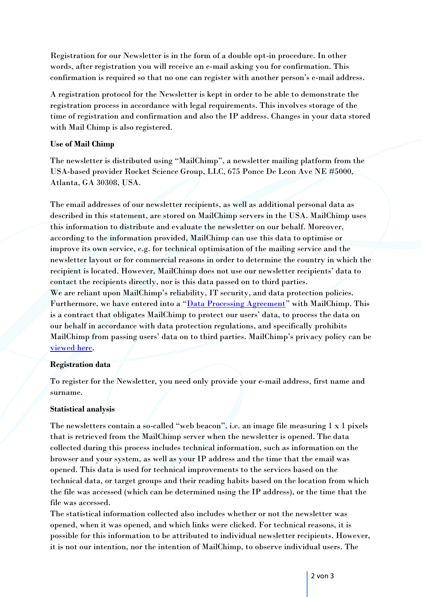Registration for our Newsletter is in the form of a double opt-in procedure. In other words, after registration you will receive an e-mail asking you for confirmation. This confirmation is required so that no one can register with another person's e-mail address.

A registration protocol for the Newsletter is kept in order to be able to demonstrate the registration process in accordance with legal requirements. This involves storage of the time of registration and confirmation and also the IP address. Changes in your data stored with Mail Chimp is also registered.

# **Use of Mail Chimp**

The newsletter is distributed using "MailChimp", a newsletter mailing platform from the USA-based provider Rocket Science Group, LLC, 675 Ponce De Leon Ave NE #5000, Atlanta, GA 30308, USA.

The email addresses of our newsletter recipients, as well as additional personal data as described in this statement, are stored on MailChimp servers in the USA. MailChimp uses this information to distribute and evaluate the newsletter on our behalf. Moreover, according to the information provided, MailChimp can use this data to optimise or improve its own service, e.g. for technical optimisation of the mailing service and the newsletter layout or for commercial reasons in order to determine the country in which the recipient is located. However, MailChimp does not use our newsletter recipients' data to contact the recipients directly, nor is this data passed on to third parties. We are reliant upon MailChimp's reliability, IT security, and data protection policies. Furthermore, we have entered into a "[Data Processing Agreement](https://mailchimp.com/legal/)" with MailChimp. This is a contract that obligates MailChimp to protect our users' data, to process the data on our behalf in accordance with data protection regulations, and specifically prohibits MailChimp from passing users' data on to third parties. MailChimp's privacy policy can be [viewed here.](https://mailchimp.com/legal/privacy/)

# **Registration data**

To register for the Newsletter, you need only provide your e-mail address, first name and surname.

# **Statistical analysis**

The newsletters contain a so-called "web beacon", i.e. an image file measuring 1 x 1 pixels that is retrieved from the MailChimp server when the newsletter is opened. The data collected during this process includes technical information, such as information on the browser and your system, as well as your IP address and the time that the email was opened. This data is used for technical improvements to the services based on the technical data, or target groups and their reading habits based on the location from which the file was accessed (which can be determined using the IP address), or the time that the file was accessed.

The statistical information collected also includes whether or not the newsletter was opened, when it was opened, and which links were clicked. For technical reasons, it is possible for this information to be attributed to individual newsletter recipients. However, it is not our intention, nor the intention of MailChimp, to observe individual users. The